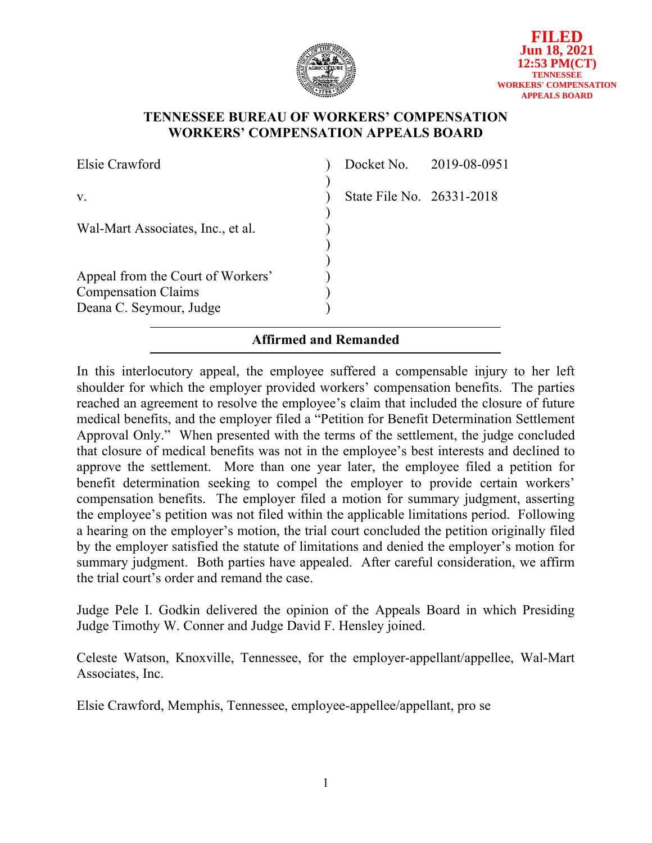

## **TENNESSEE BUREAU OF WORKERS' COMPENSATION WORKERS' COMPENSATION APPEALS BOARD**

| Elsie Crawford                    |                           | Docket No. 2019-08-0951 |
|-----------------------------------|---------------------------|-------------------------|
|                                   |                           |                         |
| V.                                | State File No. 26331-2018 |                         |
|                                   |                           |                         |
| Wal-Mart Associates, Inc., et al. |                           |                         |
|                                   |                           |                         |
|                                   |                           |                         |
| Appeal from the Court of Workers' |                           |                         |
| <b>Compensation Claims</b>        |                           |                         |
| Deana C. Seymour, Judge           |                           |                         |

# **Affirmed and Remanded**

In this interlocutory appeal, the employee suffered a compensable injury to her left shoulder for which the employer provided workers' compensation benefits. The parties reached an agreement to resolve the employee's claim that included the closure of future medical benefits, and the employer filed a "Petition for Benefit Determination Settlement Approval Only." When presented with the terms of the settlement, the judge concluded that closure of medical benefits was not in the employee's best interests and declined to approve the settlement. More than one year later, the employee filed a petition for benefit determination seeking to compel the employer to provide certain workers' compensation benefits. The employer filed a motion for summary judgment, asserting the employee's petition was not filed within the applicable limitations period. Following a hearing on the employer's motion, the trial court concluded the petition originally filed by the employer satisfied the statute of limitations and denied the employer's motion for summary judgment. Both parties have appealed. After careful consideration, we affirm the trial court's order and remand the case.

Judge Pele I. Godkin delivered the opinion of the Appeals Board in which Presiding Judge Timothy W. Conner and Judge David F. Hensley joined.

Celeste Watson, Knoxville, Tennessee, for the employer-appellant/appellee, Wal-Mart Associates, Inc.

Elsie Crawford, Memphis, Tennessee, employee-appellee/appellant, pro se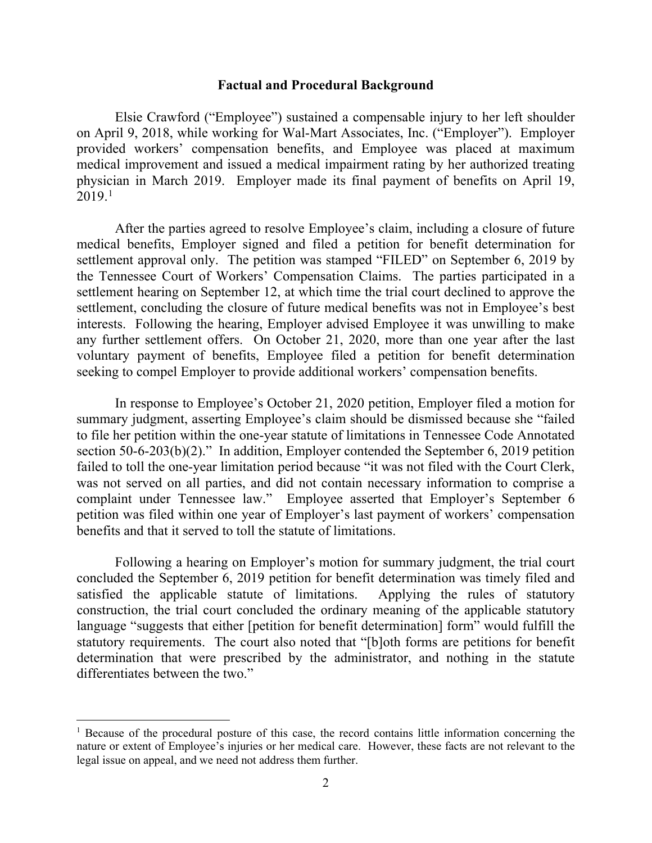#### **Factual and Procedural Background**

Elsie Crawford ("Employee") sustained a compensable injury to her left shoulder on April 9, 2018, while working for Wal-Mart Associates, Inc. ("Employer"). Employer provided workers' compensation benefits, and Employee was placed at maximum medical improvement and issued a medical impairment rating by her authorized treating physician in March 2019. Employer made its final payment of benefits on April 19,  $2019.<sup>1</sup>$  $2019.<sup>1</sup>$  $2019.<sup>1</sup>$ 

After the parties agreed to resolve Employee's claim, including a closure of future medical benefits, Employer signed and filed a petition for benefit determination for settlement approval only. The petition was stamped "FILED" on September 6, 2019 by the Tennessee Court of Workers' Compensation Claims. The parties participated in a settlement hearing on September 12, at which time the trial court declined to approve the settlement, concluding the closure of future medical benefits was not in Employee's best interests. Following the hearing, Employer advised Employee it was unwilling to make any further settlement offers. On October 21, 2020, more than one year after the last voluntary payment of benefits, Employee filed a petition for benefit determination seeking to compel Employer to provide additional workers' compensation benefits.

In response to Employee's October 21, 2020 petition, Employer filed a motion for summary judgment, asserting Employee's claim should be dismissed because she "failed to file her petition within the one-year statute of limitations in Tennessee Code Annotated section 50-6-203(b)(2)." In addition, Employer contended the September 6, 2019 petition failed to toll the one-year limitation period because "it was not filed with the Court Clerk, was not served on all parties, and did not contain necessary information to comprise a complaint under Tennessee law." Employee asserted that Employer's September 6 petition was filed within one year of Employer's last payment of workers' compensation benefits and that it served to toll the statute of limitations.

Following a hearing on Employer's motion for summary judgment, the trial court concluded the September 6, 2019 petition for benefit determination was timely filed and satisfied the applicable statute of limitations. Applying the rules of statutory construction, the trial court concluded the ordinary meaning of the applicable statutory language "suggests that either [petition for benefit determination] form" would fulfill the statutory requirements. The court also noted that "[b]oth forms are petitions for benefit determination that were prescribed by the administrator, and nothing in the statute differentiates between the two."

<span id="page-1-0"></span><sup>&</sup>lt;sup>1</sup> Because of the procedural posture of this case, the record contains little information concerning the nature or extent of Employee's injuries or her medical care. However, these facts are not relevant to the legal issue on appeal, and we need not address them further.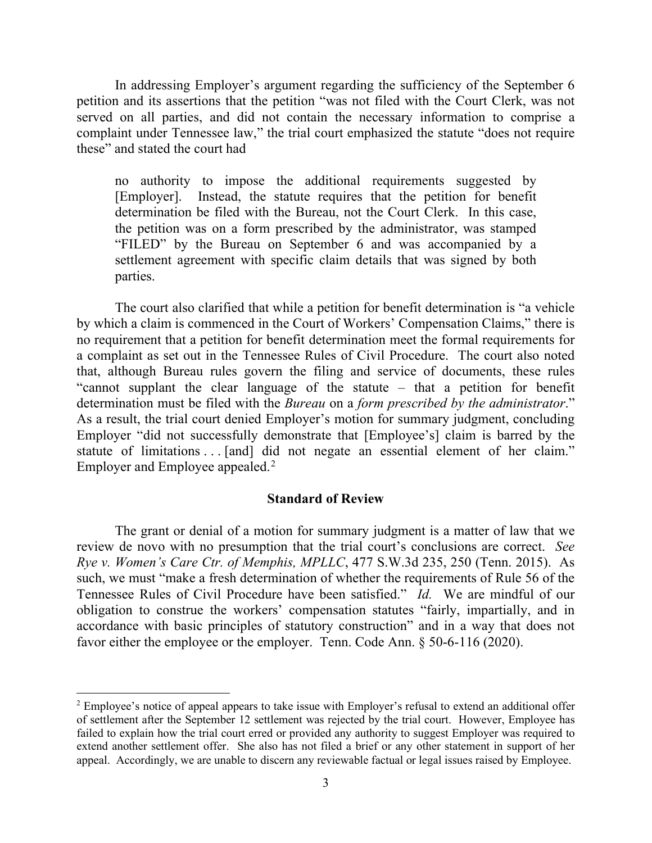In addressing Employer's argument regarding the sufficiency of the September 6 petition and its assertions that the petition "was not filed with the Court Clerk, was not served on all parties, and did not contain the necessary information to comprise a complaint under Tennessee law," the trial court emphasized the statute "does not require these" and stated the court had

no authority to impose the additional requirements suggested by [Employer]. Instead, the statute requires that the petition for benefit determination be filed with the Bureau, not the Court Clerk. In this case, the petition was on a form prescribed by the administrator, was stamped "FILED" by the Bureau on September 6 and was accompanied by a settlement agreement with specific claim details that was signed by both parties.

The court also clarified that while a petition for benefit determination is "a vehicle by which a claim is commenced in the Court of Workers' Compensation Claims," there is no requirement that a petition for benefit determination meet the formal requirements for a complaint as set out in the Tennessee Rules of Civil Procedure. The court also noted that, although Bureau rules govern the filing and service of documents, these rules "cannot supplant the clear language of the statute – that a petition for benefit determination must be filed with the *Bureau* on a *form prescribed by the administrator*." As a result, the trial court denied Employer's motion for summary judgment, concluding Employer "did not successfully demonstrate that [Employee's] claim is barred by the statute of limitations . . . [and] did not negate an essential element of her claim." Employer and Employee appealed.[2](#page-2-0)

### **Standard of Review**

The grant or denial of a motion for summary judgment is a matter of law that we review de novo with no presumption that the trial court's conclusions are correct. *See Rye v. Women's Care Ctr. of Memphis, MPLLC*, 477 S.W.3d 235, 250 (Tenn. 2015). As such, we must "make a fresh determination of whether the requirements of Rule 56 of the Tennessee Rules of Civil Procedure have been satisfied." *Id.* We are mindful of our obligation to construe the workers' compensation statutes "fairly, impartially, and in accordance with basic principles of statutory construction" and in a way that does not favor either the employee or the employer. Tenn. Code Ann. § 50-6-116 (2020).

<span id="page-2-0"></span> $2$  Employee's notice of appeal appears to take issue with Employer's refusal to extend an additional offer of settlement after the September 12 settlement was rejected by the trial court. However, Employee has failed to explain how the trial court erred or provided any authority to suggest Employer was required to extend another settlement offer. She also has not filed a brief or any other statement in support of her appeal. Accordingly, we are unable to discern any reviewable factual or legal issues raised by Employee.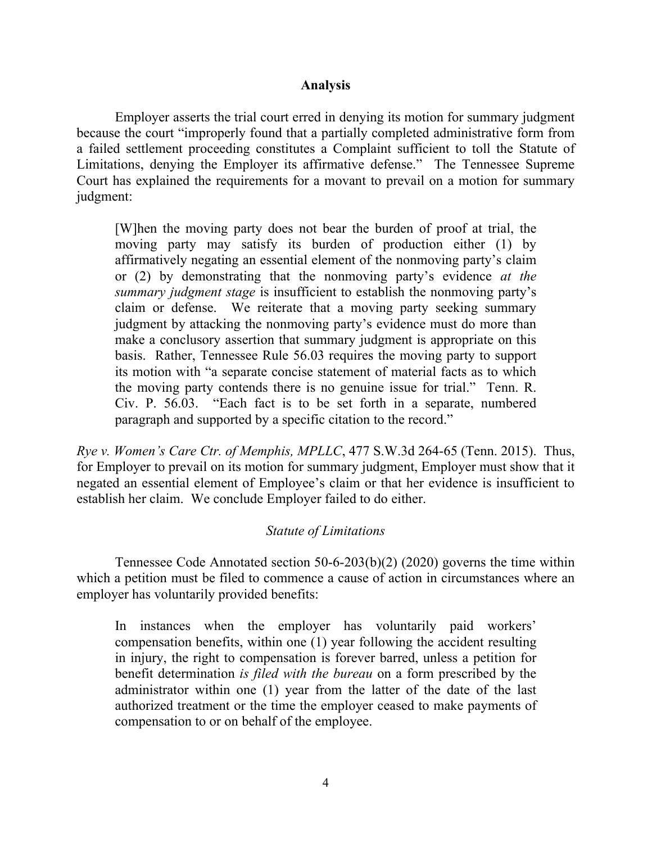### **Analysis**

Employer asserts the trial court erred in denying its motion for summary judgment because the court "improperly found that a partially completed administrative form from a failed settlement proceeding constitutes a Complaint sufficient to toll the Statute of Limitations, denying the Employer its affirmative defense." The Tennessee Supreme Court has explained the requirements for a movant to prevail on a motion for summary judgment:

[W]hen the moving party does not bear the burden of proof at trial, the moving party may satisfy its burden of production either (1) by affirmatively negating an essential element of the nonmoving party's claim or (2) by demonstrating that the nonmoving party's evidence *at the summary judgment stage* is insufficient to establish the nonmoving party's claim or defense. We reiterate that a moving party seeking summary judgment by attacking the nonmoving party's evidence must do more than make a conclusory assertion that summary judgment is appropriate on this basis. Rather, Tennessee Rule 56.03 requires the moving party to support its motion with "a separate concise statement of material facts as to which the moving party contends there is no genuine issue for trial." Tenn. R. Civ. P. 56.03. "Each fact is to be set forth in a separate, numbered paragraph and supported by a specific citation to the record."

*Rye v. Women's Care Ctr. of Memphis, MPLLC*, 477 S.W.3d 264-65 (Tenn. 2015). Thus, for Employer to prevail on its motion for summary judgment, Employer must show that it negated an essential element of Employee's claim or that her evidence is insufficient to establish her claim. We conclude Employer failed to do either.

### *Statute of Limitations*

Tennessee Code Annotated section 50-6-203(b)(2) (2020) governs the time within which a petition must be filed to commence a cause of action in circumstances where an employer has voluntarily provided benefits:

In instances when the employer has voluntarily paid workers' compensation benefits, within one (1) year following the accident resulting in injury, the right to compensation is forever barred, unless a petition for benefit determination *is filed with the bureau* on a form prescribed by the administrator within one (1) year from the latter of the date of the last authorized treatment or the time the employer ceased to make payments of compensation to or on behalf of the employee.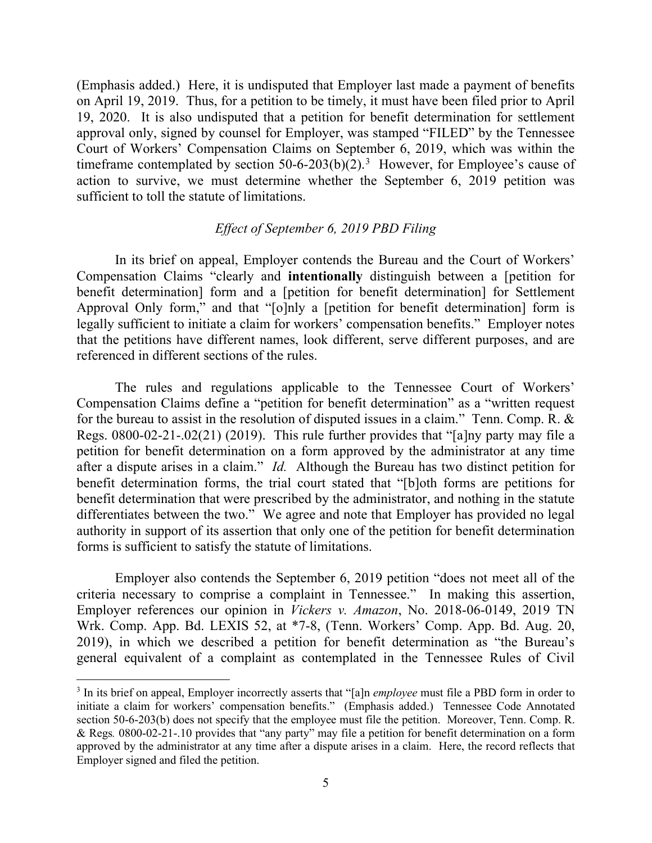(Emphasis added.) Here, it is undisputed that Employer last made a payment of benefits on April 19, 2019. Thus, for a petition to be timely, it must have been filed prior to April 19, 2020. It is also undisputed that a petition for benefit determination for settlement approval only, signed by counsel for Employer, was stamped "FILED" by the Tennessee Court of Workers' Compensation Claims on September 6, 2019, which was within the timeframe contemplated by section 50-6-20[3](#page-4-0)(b)(2).<sup>3</sup> However, for Employee's cause of action to survive, we must determine whether the September 6, 2019 petition was sufficient to toll the statute of limitations.

### *Effect of September 6, 2019 PBD Filing*

In its brief on appeal, Employer contends the Bureau and the Court of Workers' Compensation Claims "clearly and **intentionally** distinguish between a [petition for benefit determination] form and a [petition for benefit determination] for Settlement Approval Only form," and that "[o]nly a [petition for benefit determination] form is legally sufficient to initiate a claim for workers' compensation benefits." Employer notes that the petitions have different names, look different, serve different purposes, and are referenced in different sections of the rules.

The rules and regulations applicable to the Tennessee Court of Workers' Compensation Claims define a "petition for benefit determination" as a "written request for the bureau to assist in the resolution of disputed issues in a claim." Tenn. Comp. R. & Regs. 0800-02-21-.02(21) (2019). This rule further provides that "[a]ny party may file a petition for benefit determination on a form approved by the administrator at any time after a dispute arises in a claim." *Id.* Although the Bureau has two distinct petition for benefit determination forms, the trial court stated that "[b]oth forms are petitions for benefit determination that were prescribed by the administrator, and nothing in the statute differentiates between the two." We agree and note that Employer has provided no legal authority in support of its assertion that only one of the petition for benefit determination forms is sufficient to satisfy the statute of limitations.

Employer also contends the September 6, 2019 petition "does not meet all of the criteria necessary to comprise a complaint in Tennessee." In making this assertion, Employer references our opinion in *Vickers v. Amazon*, No. 2018-06-0149, 2019 TN Wrk. Comp. App. Bd. LEXIS 52, at \*7-8, (Tenn. Workers' Comp. App. Bd. Aug. 20, 2019), in which we described a petition for benefit determination as "the Bureau's general equivalent of a complaint as contemplated in the Tennessee Rules of Civil

<span id="page-4-0"></span><sup>&</sup>lt;sup>3</sup> In its brief on appeal, Employer incorrectly asserts that "[a]n *employee* must file a PBD form in order to initiate a claim for workers' compensation benefits." (Emphasis added.) Tennessee Code Annotated section 50-6-203(b) does not specify that the employee must file the petition. Moreover, Tenn. Comp. R. & Regs*.* 0800-02-21-.10 provides that "any party" may file a petition for benefit determination on a form approved by the administrator at any time after a dispute arises in a claim. Here, the record reflects that Employer signed and filed the petition.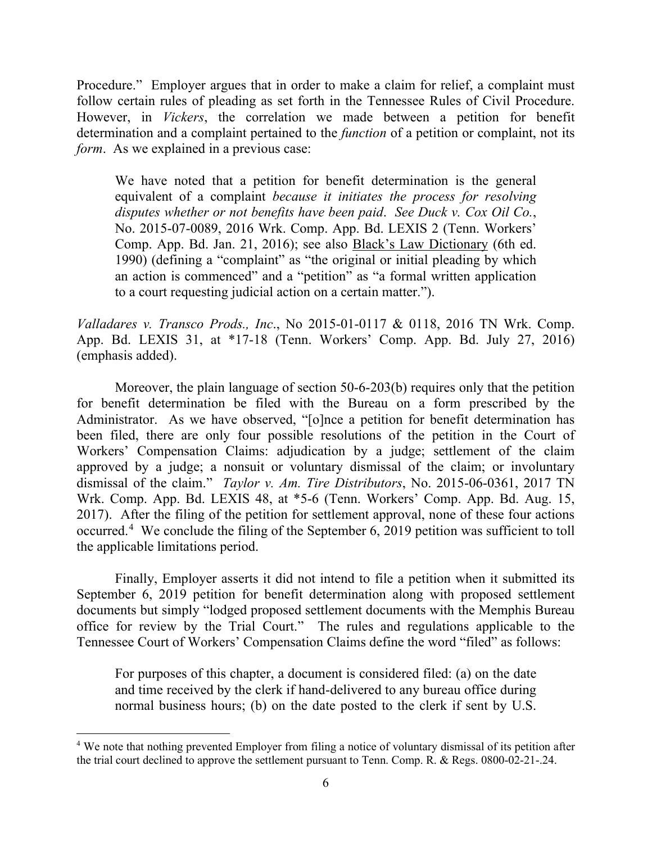Procedure." Employer argues that in order to make a claim for relief, a complaint must follow certain rules of pleading as set forth in the Tennessee Rules of Civil Procedure. However, in *Vickers*, the correlation we made between a petition for benefit determination and a complaint pertained to the *function* of a petition or complaint, not its *form*. As we explained in a previous case:

We have noted that a petition for benefit determination is the general equivalent of a complaint *because it initiates the process for resolving disputes whether or not benefits have been paid*. *See Duck v. Cox Oil Co.*, No. 2015-07-0089, 2016 Wrk. Comp. App. Bd. LEXIS 2 (Tenn. Workers' Comp. App. Bd. Jan. 21, 2016); see also Black's Law Dictionary (6th ed. 1990) (defining a "complaint" as "the original or initial pleading by which an action is commenced" and a "petition" as "a formal written application to a court requesting judicial action on a certain matter.").

*Valladares v. Transco Prods., Inc*., No 2015-01-0117 & 0118, 2016 TN Wrk. Comp. App. Bd. LEXIS 31, at \*17-18 (Tenn. Workers' Comp. App. Bd. July 27, 2016) (emphasis added).

Moreover, the plain language of section 50-6-203(b) requires only that the petition for benefit determination be filed with the Bureau on a form prescribed by the Administrator. As we have observed, "[o]nce a petition for benefit determination has been filed, there are only four possible resolutions of the petition in the Court of Workers' Compensation Claims: adjudication by a judge; settlement of the claim approved by a judge; a nonsuit or voluntary dismissal of the claim; or involuntary dismissal of the claim." *Taylor v. Am. Tire Distributors*, No. 2015-06-0361, 2017 TN Wrk. Comp. App. Bd. LEXIS 48, at \*5-6 (Tenn. Workers' Comp. App. Bd. Aug. 15, 2017). After the filing of the petition for settlement approval, none of these four actions occurred.<sup>[4](#page-5-0)</sup> We conclude the filing of the September 6, 2019 petition was sufficient to toll the applicable limitations period.

Finally, Employer asserts it did not intend to file a petition when it submitted its September 6, 2019 petition for benefit determination along with proposed settlement documents but simply "lodged proposed settlement documents with the Memphis Bureau office for review by the Trial Court." The rules and regulations applicable to the Tennessee Court of Workers' Compensation Claims define the word "filed" as follows:

For purposes of this chapter, a document is considered filed: (a) on the date and time received by the clerk if hand-delivered to any bureau office during normal business hours; (b) on the date posted to the clerk if sent by U.S.

<span id="page-5-0"></span><sup>&</sup>lt;sup>4</sup> We note that nothing prevented Employer from filing a notice of voluntary dismissal of its petition after the trial court declined to approve the settlement pursuant to Tenn. Comp. R. & Regs. 0800-02-21-.24.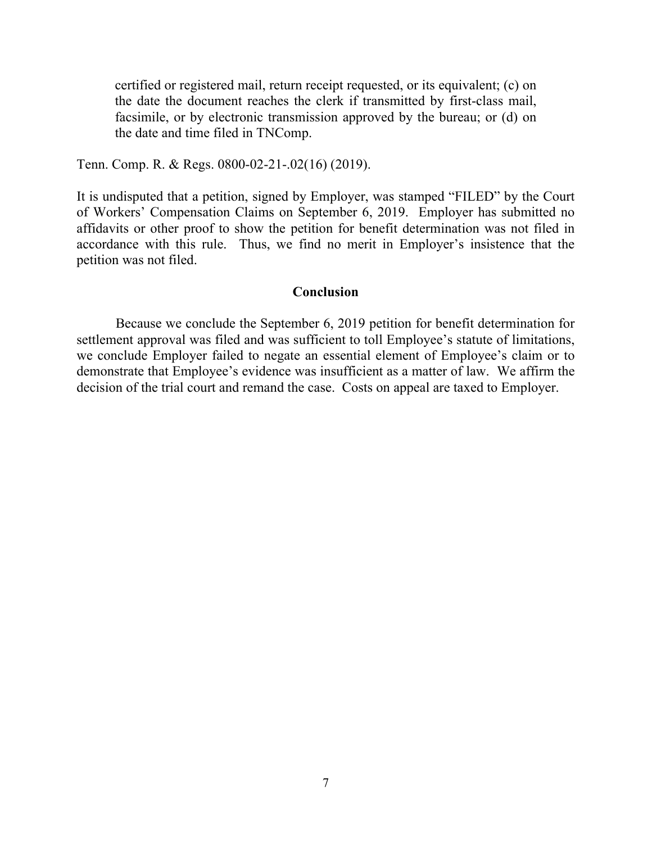certified or registered mail, return receipt requested, or its equivalent; (c) on the date the document reaches the clerk if transmitted by first-class mail, facsimile, or by electronic transmission approved by the bureau; or (d) on the date and time filed in TNComp.

Tenn. Comp. R. & Regs. 0800-02-21-.02(16) (2019).

It is undisputed that a petition, signed by Employer, was stamped "FILED" by the Court of Workers' Compensation Claims on September 6, 2019. Employer has submitted no affidavits or other proof to show the petition for benefit determination was not filed in accordance with this rule. Thus, we find no merit in Employer's insistence that the petition was not filed.

#### **Conclusion**

Because we conclude the September 6, 2019 petition for benefit determination for settlement approval was filed and was sufficient to toll Employee's statute of limitations, we conclude Employer failed to negate an essential element of Employee's claim or to demonstrate that Employee's evidence was insufficient as a matter of law. We affirm the decision of the trial court and remand the case. Costs on appeal are taxed to Employer.